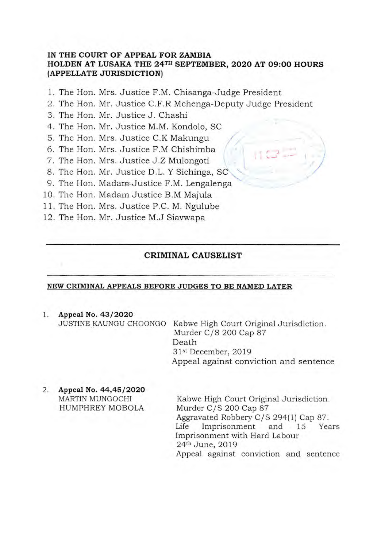### **IN THE COURT OF APPEAL FOR ZAMBIA HOLDEN AT LUSAKA THE 24TH SEPTEMBER, 2020 AT 09:00 HOURS (APPELLATE JURISDICTION)**

- 1. The Hon. Mrs. Justice F.M. Chisanga-Judge President
- 2. The Hon. Mr. Justice C.F.R Mchenga-Deputy Judge President
- 3. The Hon. Mr. Justice J. Chashi
- 4. The Hon. Mr. Justice M.M. Kondolo, SC
- 5. The Hon. Mrs. Justice C.K Makungu
- 6. The Hon. Mrs. Justice F.M Chishimba
- 7. The Hon. Mrs. Justice J.Z Mulongoti
- 8. The Hon. Mr. Justice D.L. Y Sichinga, SC
- 9. The Hon. Madam Justice F.M. Lengalenga
- 10. The Hon. Madam Justice B.M Majula
- 11. The Hon. Mrs. Justice P.C. M. Ngulube
- 12. The Hon. Mr. Justice M.J Siavwapa

## **CRIMINAL CAUSELIST**

#### **NEW CRIMINAL APPEALS BEFORE JUDGES TO BE NAMED LATER**

### 1. **Appeal No. 43/2020**

JUSTINE KAUNGU CHOONGO Kabwe High Court Original Jurisdiction. Murder C/S 200 Cap 87 Death 31st December, 2019 Appeal against conviction and sentence

**Appeal No. 44,45/2020**  MARTIN MUNGOCHI HUMPHREY MOBOLA

Kabwe High Court Original Jurisdiction. Murder C/S 200 Cap 87 Aggravated Robbery C/S 294(1) Cap 87. Life Imprisonment and 15 Years Imprisonment with Hard Labour 24<sup>th</sup> June, 2019 Appeal against conviction and sentence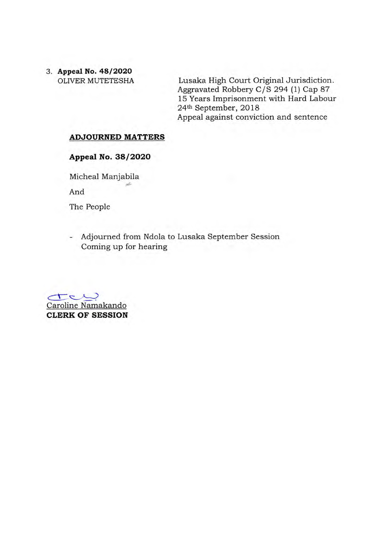**3. Appeal No. 48/2020** 

OLIVER MUTETESHA Lusaka High Court Original Jurisdiction. Aggravated Robbery C/S 294 (1) Cap 87 15 Years Imprisonment with Hard Labour 24th September, 2018 Appeal against conviction and sentence

#### **ADJOURNED MATTERS**

**Appeal No. 38/2020** 

Micheal Manjabila

And

The People

- Adjourned from Ndola to Lusaka September Session Coming up for hearing

tew Caroline Namakando **CLERK OF SESSION**